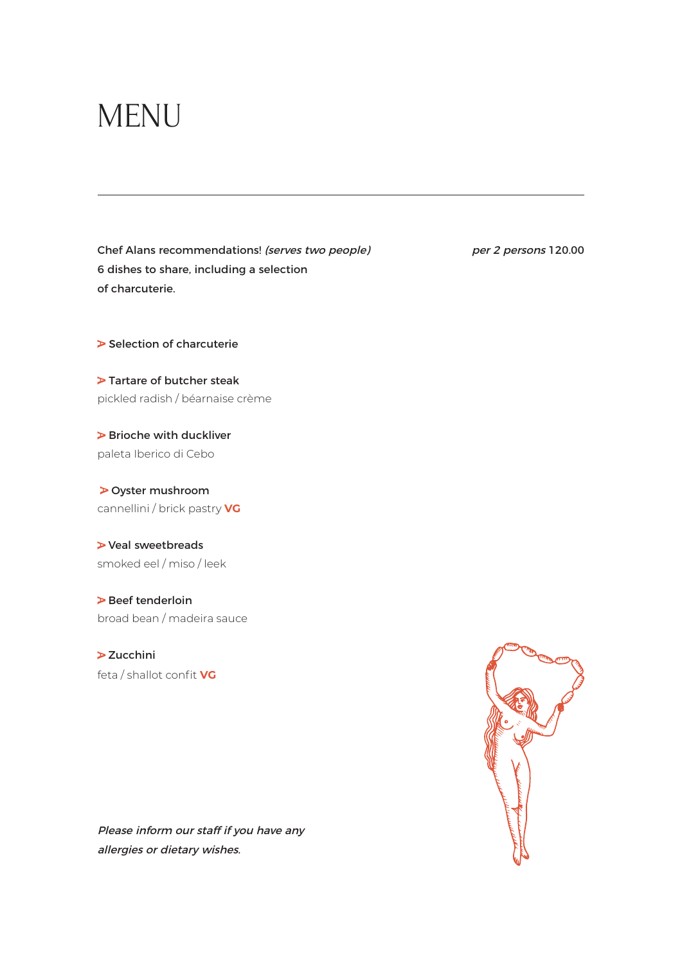## MENU

Chef Alans recommendations! (serves two people) per 2 persons 120.00 6 dishes to share, including a selection of charcuterie.

 $\triangleright$  Selection of charcuterie

 $\blacktriangleright$  Tartare of butcher steak pickled radish / béarnaise crème

 $\triangleright$  Brioche with duckliver paleta Iberico di Cebo

Oyster mushroom cannellini / brick pastry **VG**

Veal sweetbreads smoked eel / miso / leek

 $\triangleright$  Beef tenderloin broad bean / madeira sauce

 $\geq$  Zucchini feta / shallot confit **VG**

Please inform our staff if you have any allergies or dietary wishes.